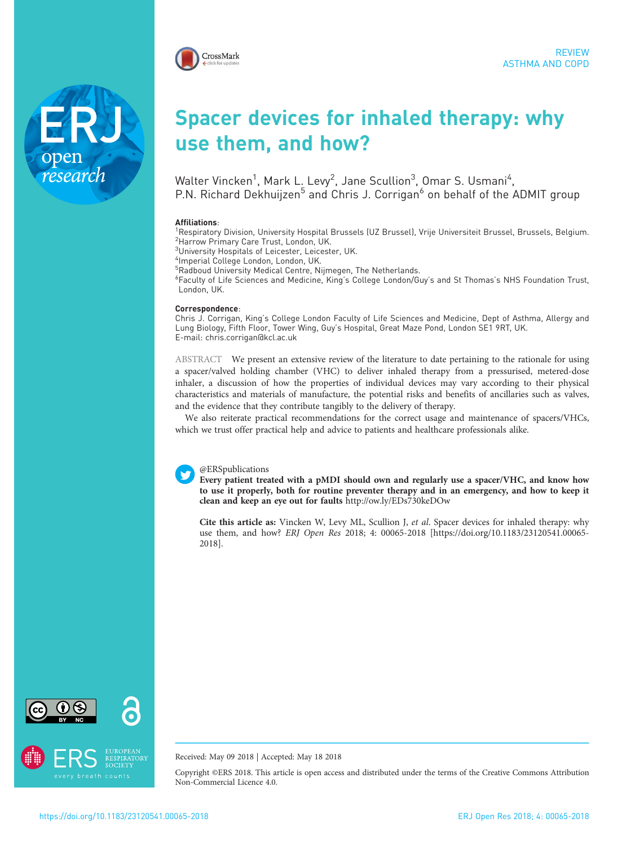

# Spacer devices for inhaled therapy: why use them, and how?

Walter Vincken $^1$ , Mark L. Levy $^2$ , Jane Scullion $^3$ , Omar S. Usmani $^4$ , P.N. Richard Dekhuijzen<sup>5</sup> and Chris J. Corrigan<sup>6</sup> on behalf of the ADMIT group

#### Affiliations:

<sup>1</sup>Respiratory Division, University Hospital Brussels (UZ Brussel), Vrije Universiteit Brussel, Brussels, Belgium. 2 Harrow Primary Care Trust, London, UK.

<sup>3</sup>University Hospitals of Leicester, Leicester, UK.

4 Imperial College London, London, UK.

<sup>5</sup>Radboud University Medical Centre, Nijmegen, The Netherlands.

6 Faculty of Life Sciences and Medicine, King's College London/Guy's and St Thomas's NHS Foundation Trust, London, UK.

#### Correspondence:

Chris J. Corrigan, King's College London Faculty of Life Sciences and Medicine, Dept of Asthma, Allergy and Lung Biology, Fifth Floor, Tower Wing, Guy's Hospital, Great Maze Pond, London SE1 9RT, UK. E-mail: [chris.corrigan@kcl.ac.uk](mailto:chris.corrigan@kcl.ac.uk)

ABSTRACT We present an extensive review of the literature to date pertaining to the rationale for using a spacer/valved holding chamber (VHC) to deliver inhaled therapy from a pressurised, metered-dose inhaler, a discussion of how the properties of individual devices may vary according to their physical characteristics and materials of manufacture, the potential risks and benefits of ancillaries such as valves, and the evidence that they contribute tangibly to the delivery of therapy.

We also reiterate practical recommendations for the correct usage and maintenance of spacers/VHCs, which we trust offer practical help and advice to patients and healthcare professionals alike.



Every patient treated with a pMDI should own and regularly use a spacer/VHC, and know how to use it properly, both for routine preventer therapy and in an emergency, and how to keep it clean and keep an eye out for faults <http://ow.ly/EDs730keDOw>

Cite this article as: Vincken W, Levy ML, Scullion J, et al. Spacer devices for inhaled therapy: why use them, and how? ERJ Open Res 2018; 4: 00065-2018 [\[https://doi.org/10.1183/23120541.00065-](https://doi.org/10.1183/23120541.00065-2018) [2018\].](https://doi.org/10.1183/23120541.00065-2018)



ope



Received: May 09 2018 | Accepted: May 18 2018

Copyright ©ERS 2018. This article is open access and distributed under the terms of the Creative Commons Attribution Non-Commercial Licence 4.0.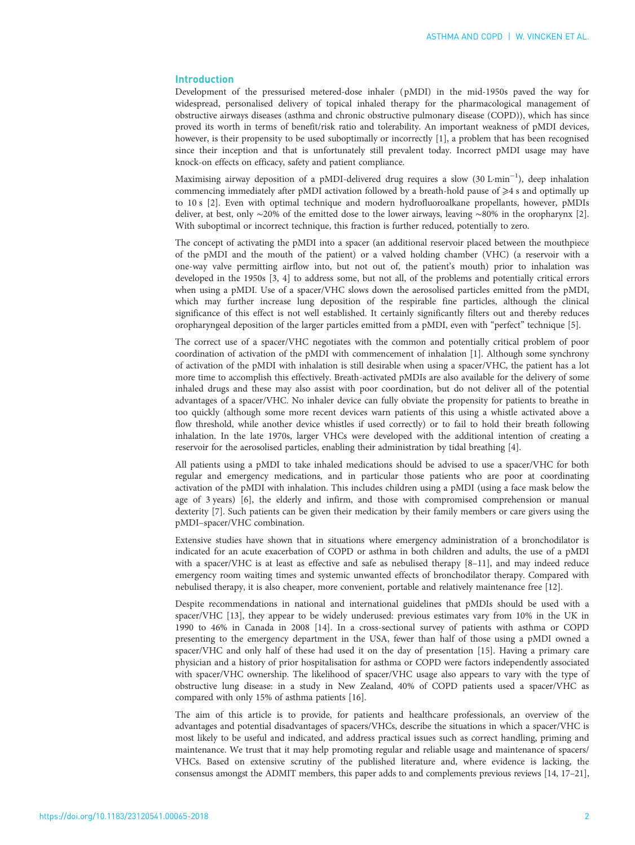# Introduction

Development of the pressurised metered-dose inhaler ( pMDI) in the mid-1950s paved the way for widespread, personalised delivery of topical inhaled therapy for the pharmacological management of obstructive airways diseases (asthma and chronic obstructive pulmonary disease (COPD)), which has since proved its worth in terms of benefit/risk ratio and tolerability. An important weakness of pMDI devices, however, is their propensity to be used suboptimally or incorrectly [[1](#page-7-0)], a problem that has been recognised since their inception and that is unfortunately still prevalent today. Incorrect pMDI usage may have knock-on effects on efficacy, safety and patient compliance.

Maximising airway deposition of a pMDI-delivered drug requires a slow (30 L·min−<sup>1</sup> ), deep inhalation commencing immediately after pMDI activation followed by a breath-hold pause of  $\geq 4$  s and optimally up to 10 s [\[2\]](#page-7-0). Even with optimal technique and modern hydrofluoroalkane propellants, however, pMDIs deliver, at best, only ∼20% of the emitted dose to the lower airways, leaving ∼80% in the oropharynx [\[2\]](#page-7-0). With suboptimal or incorrect technique, this fraction is further reduced, potentially to zero.

The concept of activating the pMDI into a spacer (an additional reservoir placed between the mouthpiece of the pMDI and the mouth of the patient) or a valved holding chamber (VHC) (a reservoir with a one-way valve permitting airflow into, but not out of, the patient's mouth) prior to inhalation was developed in the 1950s [\[3, 4](#page-7-0)] to address some, but not all, of the problems and potentially critical errors when using a pMDI. Use of a spacer/VHC slows down the aerosolised particles emitted from the pMDI, which may further increase lung deposition of the respirable fine particles, although the clinical significance of this effect is not well established. It certainly significantly filters out and thereby reduces oropharyngeal deposition of the larger particles emitted from a pMDI, even with "perfect" technique [[5\]](#page-7-0).

The correct use of a spacer/VHC negotiates with the common and potentially critical problem of poor coordination of activation of the pMDI with commencement of inhalation [\[1](#page-7-0)]. Although some synchrony of activation of the pMDI with inhalation is still desirable when using a spacer/VHC, the patient has a lot more time to accomplish this effectively. Breath-activated pMDIs are also available for the delivery of some inhaled drugs and these may also assist with poor coordination, but do not deliver all of the potential advantages of a spacer/VHC. No inhaler device can fully obviate the propensity for patients to breathe in too quickly (although some more recent devices warn patients of this using a whistle activated above a flow threshold, while another device whistles if used correctly) or to fail to hold their breath following inhalation. In the late 1970s, larger VHCs were developed with the additional intention of creating a reservoir for the aerosolised particles, enabling their administration by tidal breathing [[4\]](#page-7-0).

All patients using a pMDI to take inhaled medications should be advised to use a spacer/VHC for both regular and emergency medications, and in particular those patients who are poor at coordinating activation of the pMDI with inhalation. This includes children using a pMDI (using a face mask below the age of 3 years) [[6](#page-7-0)], the elderly and infirm, and those with compromised comprehension or manual dexterity [[7\]](#page-7-0). Such patients can be given their medication by their family members or care givers using the pMDI–spacer/VHC combination.

Extensive studies have shown that in situations where emergency administration of a bronchodilator is indicated for an acute exacerbation of COPD or asthma in both children and adults, the use of a pMDI with a spacer/VHC is at least as effective and safe as nebulised therapy [\[8](#page-7-0)-[11\]](#page-7-0), and may indeed reduce emergency room waiting times and systemic unwanted effects of bronchodilator therapy. Compared with nebulised therapy, it is also cheaper, more convenient, portable and relatively maintenance free [\[12\]](#page-7-0).

Despite recommendations in national and international guidelines that pMDIs should be used with a spacer/VHC [[13](#page-7-0)], they appear to be widely underused: previous estimates vary from 10% in the UK in 1990 to 46% in Canada in 2008 [\[14\]](#page-7-0). In a cross-sectional survey of patients with asthma or COPD presenting to the emergency department in the USA, fewer than half of those using a pMDI owned a spacer/VHC and only half of these had used it on the day of presentation [[15](#page-7-0)]. Having a primary care physician and a history of prior hospitalisation for asthma or COPD were factors independently associated with spacer/VHC ownership. The likelihood of spacer/VHC usage also appears to vary with the type of obstructive lung disease: in a study in New Zealand, 40% of COPD patients used a spacer/VHC as compared with only 15% of asthma patients [\[16\]](#page-7-0).

The aim of this article is to provide, for patients and healthcare professionals, an overview of the advantages and potential disadvantages of spacers/VHCs, describe the situations in which a spacer/VHC is most likely to be useful and indicated, and address practical issues such as correct handling, priming and maintenance. We trust that it may help promoting regular and reliable usage and maintenance of spacers/ VHCs. Based on extensive scrutiny of the published literature and, where evidence is lacking, the consensus amongst the ADMIT members, this paper adds to and complements previous reviews [\[14, 17](#page-7-0)–[21\]](#page-7-0),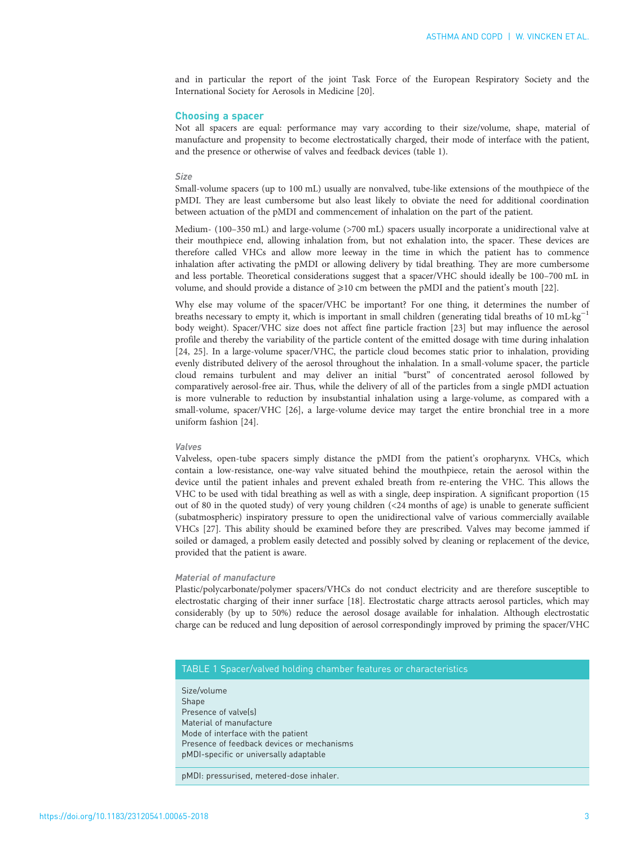and in particular the report of the joint Task Force of the European Respiratory Society and the International Society for Aerosols in Medicine [[20](#page-7-0)].

# Choosing a spacer

Not all spacers are equal: performance may vary according to their size/volume, shape, material of manufacture and propensity to become electrostatically charged, their mode of interface with the patient, and the presence or otherwise of valves and feedback devices (table 1).

#### Size

Small-volume spacers (up to 100 mL) usually are nonvalved, tube-like extensions of the mouthpiece of the pMDI. They are least cumbersome but also least likely to obviate the need for additional coordination between actuation of the pMDI and commencement of inhalation on the part of the patient.

Medium- (100–350 mL) and large-volume (>700 mL) spacers usually incorporate a unidirectional valve at their mouthpiece end, allowing inhalation from, but not exhalation into, the spacer. These devices are therefore called VHCs and allow more leeway in the time in which the patient has to commence inhalation after activating the pMDI or allowing delivery by tidal breathing. They are more cumbersome and less portable. Theoretical considerations suggest that a spacer/VHC should ideally be 100–700 mL in volume, and should provide a distance of  $\geq 10$  cm between the pMDI and the patient's mouth [[22](#page-7-0)].

Why else may volume of the spacer/VHC be important? For one thing, it determines the number of breaths necessary to empty it, which is important in small children (generating tidal breaths of 10 mL·kg−<sup>1</sup> body weight). Spacer/VHC size does not affect fine particle fraction [[23](#page-7-0)] but may influence the aerosol profile and thereby the variability of the particle content of the emitted dosage with time during inhalation [[24](#page-7-0), [25](#page-7-0)]. In a large-volume spacer/VHC, the particle cloud becomes static prior to inhalation, providing evenly distributed delivery of the aerosol throughout the inhalation. In a small-volume spacer, the particle cloud remains turbulent and may deliver an initial "burst" of concentrated aerosol followed by comparatively aerosol-free air. Thus, while the delivery of all of the particles from a single pMDI actuation is more vulnerable to reduction by insubstantial inhalation using a large-volume, as compared with a small-volume, spacer/VHC [[26](#page-7-0)], a large-volume device may target the entire bronchial tree in a more uniform fashion [[24](#page-7-0)].

#### Valves

Valveless, open-tube spacers simply distance the pMDI from the patient's oropharynx. VHCs, which contain a low-resistance, one-way valve situated behind the mouthpiece, retain the aerosol within the device until the patient inhales and prevent exhaled breath from re-entering the VHC. This allows the VHC to be used with tidal breathing as well as with a single, deep inspiration. A significant proportion (15 out of 80 in the quoted study) of very young children (<24 months of age) is unable to generate sufficient (subatmospheric) inspiratory pressure to open the unidirectional valve of various commercially available VHCs [[27](#page-7-0)]. This ability should be examined before they are prescribed. Valves may become jammed if soiled or damaged, a problem easily detected and possibly solved by cleaning or replacement of the device, provided that the patient is aware.

# Material of manufacture

Plastic/polycarbonate/polymer spacers/VHCs do not conduct electricity and are therefore susceptible to electrostatic charging of their inner surface [[18\]](#page-7-0). Electrostatic charge attracts aerosol particles, which may considerably (by up to 50%) reduce the aerosol dosage available for inhalation. Although electrostatic charge can be reduced and lung deposition of aerosol correspondingly improved by priming the spacer/VHC

# TABLE 1 Spacer/valved holding chamber features or characteristics

Size/volume Shape Presence of valve(s) Material of manufacture Mode of interface with the patient Presence of feedback devices or mechanisms pMDI-specific or universally adaptable

pMDI: pressurised, metered-dose inhaler.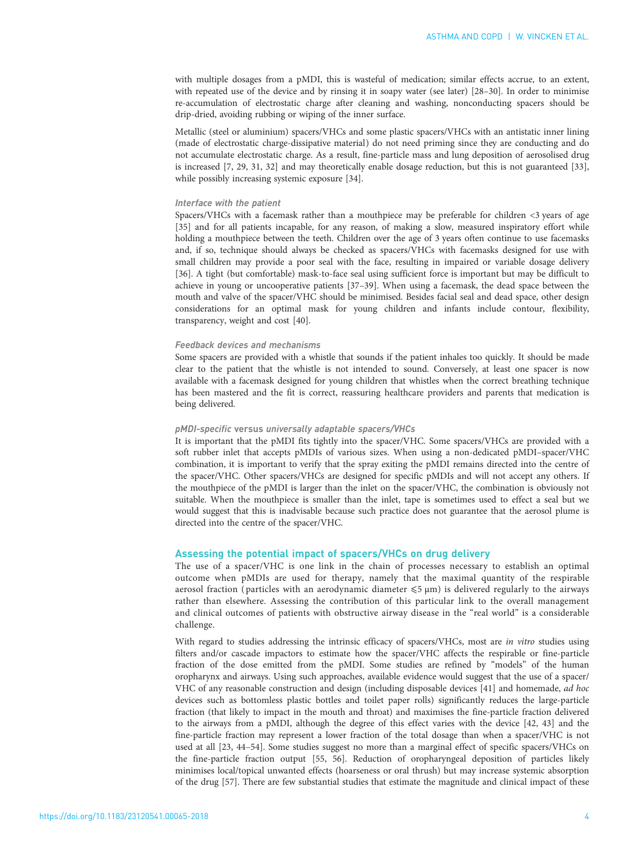with multiple dosages from a pMDI, this is wasteful of medication; similar effects accrue, to an extent, with repeated use of the device and by rinsing it in soapy water (see later) [\[28](#page-7-0)–[30](#page-7-0)]. In order to minimise re-accumulation of electrostatic charge after cleaning and washing, nonconducting spacers should be drip-dried, avoiding rubbing or wiping of the inner surface.

Metallic (steel or aluminium) spacers/VHCs and some plastic spacers/VHCs with an antistatic inner lining (made of electrostatic charge-dissipative material) do not need priming since they are conducting and do not accumulate electrostatic charge. As a result, fine-particle mass and lung deposition of aerosolised drug is increased [[7, 29, 31](#page-7-0), [32\]](#page-7-0) and may theoretically enable dosage reduction, but this is not guaranteed [\[33\]](#page-7-0), while possibly increasing systemic exposure [\[34\]](#page-7-0).

# Interface with the patient

Spacers/VHCs with a facemask rather than a mouthpiece may be preferable for children <3 years of age [[35](#page-7-0)] and for all patients incapable, for any reason, of making a slow, measured inspiratory effort while holding a mouthpiece between the teeth. Children over the age of 3 years often continue to use facemasks and, if so, technique should always be checked as spacers/VHCs with facemasks designed for use with small children may provide a poor seal with the face, resulting in impaired or variable dosage delivery [[36](#page-7-0)]. A tight (but comfortable) mask-to-face seal using sufficient force is important but may be difficult to achieve in young or uncooperative patients [[37](#page-7-0)–[39](#page-8-0)]. When using a facemask, the dead space between the mouth and valve of the spacer/VHC should be minimised. Besides facial seal and dead space, other design considerations for an optimal mask for young children and infants include contour, flexibility, transparency, weight and cost [[40](#page-8-0)].

# Feedback devices and mechanisms

Some spacers are provided with a whistle that sounds if the patient inhales too quickly. It should be made clear to the patient that the whistle is not intended to sound. Conversely, at least one spacer is now available with a facemask designed for young children that whistles when the correct breathing technique has been mastered and the fit is correct, reassuring healthcare providers and parents that medication is being delivered.

#### pMDI-specific versus universally adaptable spacers/VHCs

It is important that the pMDI fits tightly into the spacer/VHC. Some spacers/VHCs are provided with a soft rubber inlet that accepts pMDIs of various sizes. When using a non-dedicated pMDI–spacer/VHC combination, it is important to verify that the spray exiting the pMDI remains directed into the centre of the spacer/VHC. Other spacers/VHCs are designed for specific pMDIs and will not accept any others. If the mouthpiece of the pMDI is larger than the inlet on the spacer/VHC, the combination is obviously not suitable. When the mouthpiece is smaller than the inlet, tape is sometimes used to effect a seal but we would suggest that this is inadvisable because such practice does not guarantee that the aerosol plume is directed into the centre of the spacer/VHC.

# Assessing the potential impact of spacers/VHCs on drug delivery

The use of a spacer/VHC is one link in the chain of processes necessary to establish an optimal outcome when pMDIs are used for therapy, namely that the maximal quantity of the respirable aerosol fraction (particles with an aerodynamic diameter  $\leq 5 \mu m$ ) is delivered regularly to the airways rather than elsewhere. Assessing the contribution of this particular link to the overall management and clinical outcomes of patients with obstructive airway disease in the "real world" is a considerable challenge.

With regard to studies addressing the intrinsic efficacy of spacers/VHCs, most are in vitro studies using filters and/or cascade impactors to estimate how the spacer/VHC affects the respirable or fine-particle fraction of the dose emitted from the pMDI. Some studies are refined by "models" of the human oropharynx and airways. Using such approaches, available evidence would suggest that the use of a spacer/ VHC of any reasonable construction and design (including disposable devices [\[41](#page-8-0)] and homemade, ad hoc devices such as bottomless plastic bottles and toilet paper rolls) significantly reduces the large-particle fraction (that likely to impact in the mouth and throat) and maximises the fine-particle fraction delivered to the airways from a pMDI, although the degree of this effect varies with the device [\[42, 43](#page-8-0)] and the fine-particle fraction may represent a lower fraction of the total dosage than when a spacer/VHC is not used at all [\[23,](#page-7-0) [44](#page-8-0)–[54\]](#page-8-0). Some studies suggest no more than a marginal effect of specific spacers/VHCs on the fine-particle fraction output [[55, 56\]](#page-8-0). Reduction of oropharyngeal deposition of particles likely minimises local/topical unwanted effects (hoarseness or oral thrush) but may increase systemic absorption of the drug [\[57\]](#page-8-0). There are few substantial studies that estimate the magnitude and clinical impact of these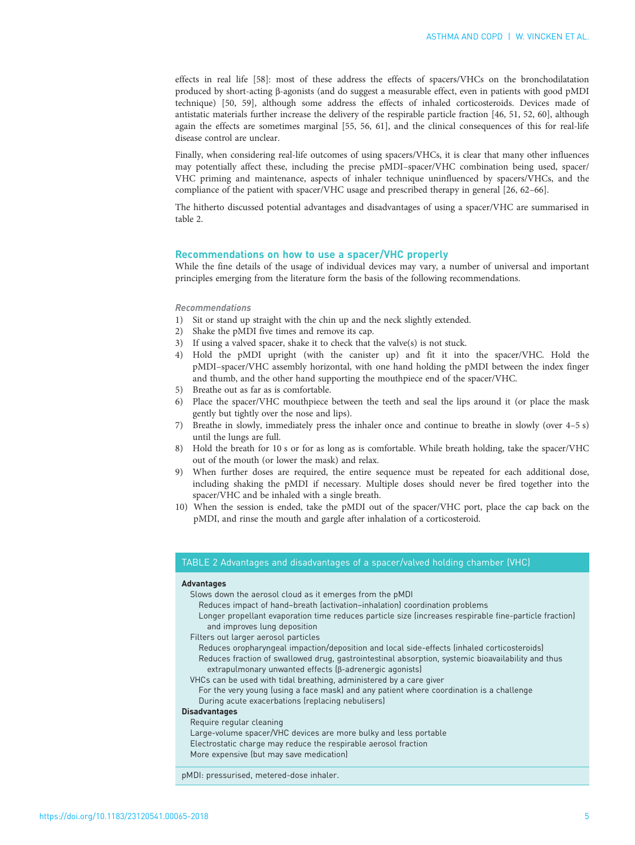effects in real life [\[58](#page-8-0)]: most of these address the effects of spacers/VHCs on the bronchodilatation produced by short-acting β-agonists (and do suggest a measurable effect, even in patients with good pMDI technique) [\[50, 59\]](#page-8-0), although some address the effects of inhaled corticosteroids. Devices made of antistatic materials further increase the delivery of the respirable particle fraction [\[46, 51](#page-8-0), [52, 60](#page-8-0)], although again the effects are sometimes marginal [[55](#page-8-0), [56, 61](#page-8-0)], and the clinical consequences of this for real-life disease control are unclear.

Finally, when considering real-life outcomes of using spacers/VHCs, it is clear that many other influences may potentially affect these, including the precise pMDI–spacer/VHC combination being used, spacer/ VHC priming and maintenance, aspects of inhaler technique uninfluenced by spacers/VHCs, and the compliance of the patient with spacer/VHC usage and prescribed therapy in general [[26,](#page-7-0) [62](#page-8-0)–[66](#page-8-0)].

The hitherto discussed potential advantages and disadvantages of using a spacer/VHC are summarised in table 2.

# Recommendations on how to use a spacer/VHC properly

While the fine details of the usage of individual devices may vary, a number of universal and important principles emerging from the literature form the basis of the following recommendations.

# Recommendations

- 1) Sit or stand up straight with the chin up and the neck slightly extended.
- 2) Shake the pMDI five times and remove its cap.
- 3) If using a valved spacer, shake it to check that the valve(s) is not stuck.
- 4) Hold the pMDI upright (with the canister up) and fit it into the spacer/VHC. Hold the pMDI–spacer/VHC assembly horizontal, with one hand holding the pMDI between the index finger and thumb, and the other hand supporting the mouthpiece end of the spacer/VHC.
- 5) Breathe out as far as is comfortable.
- 6) Place the spacer/VHC mouthpiece between the teeth and seal the lips around it (or place the mask gently but tightly over the nose and lips).
- 7) Breathe in slowly, immediately press the inhaler once and continue to breathe in slowly (over 4–5 s) until the lungs are full.
- 8) Hold the breath for 10 s or for as long as is comfortable. While breath holding, take the spacer/VHC out of the mouth (or lower the mask) and relax.
- 9) When further doses are required, the entire sequence must be repeated for each additional dose, including shaking the pMDI if necessary. Multiple doses should never be fired together into the spacer/VHC and be inhaled with a single breath.
- 10) When the session is ended, take the pMDI out of the spacer/VHC port, place the cap back on the pMDI, and rinse the mouth and gargle after inhalation of a corticosteroid.

# TABLE 2 Advantages and disadvantages of a spacer/valved holding chamber (VHC)

## Advantages

- Slows down the aerosol cloud as it emerges from the pMDI
	- Reduces impact of hand–breath (activation–inhalation) coordination problems
	- Longer propellant evaporation time reduces particle size (increases respirable fine-particle fraction) and improves lung deposition
- Filters out larger aerosol particles
- Reduces oropharyngeal impaction/deposition and local side-effects (inhaled corticosteroids) Reduces fraction of swallowed drug, gastrointestinal absorption, systemic bioavailability and thus extrapulmonary unwanted effects (β-adrenergic agonists)
- VHCs can be used with tidal breathing, administered by a care giver
	- For the very young (using a face mask) and any patient where coordination is a challenge During acute exacerbations (replacing nebulisers)

# Disadvantages

- Require regular cleaning
- Large-volume spacer/VHC devices are more bulky and less portable
- Electrostatic charge may reduce the respirable aerosol fraction
- More expensive (but may save medication)

pMDI: pressurised, metered-dose inhaler.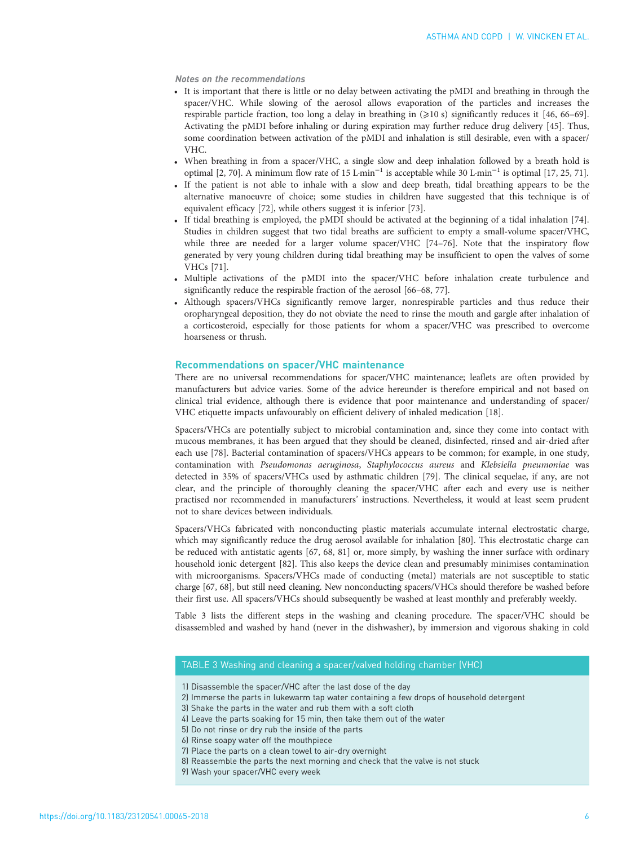# Notes on the recommendations

- It is important that there is little or no delay between activating the pMDI and breathing in through the spacer/VHC. While slowing of the aerosol allows evaporation of the particles and increases the respirable particle fraction, too long a delay in breathing in (⩾10 s) significantly reduces it [\[46, 66](#page-8-0)–[69\]](#page-8-0). Activating the pMDI before inhaling or during expiration may further reduce drug delivery [[45](#page-8-0)]. Thus, some coordination between activation of the pMDI and inhalation is still desirable, even with a spacer/ VHC.
- When breathing in from a spacer/VHC, a single slow and deep inhalation followed by a breath hold is optimal [[2,](#page-7-0) [70\]](#page-8-0). A minimum flow rate of 15 L·min<sup>-1</sup> is acceptable while 30 L·min<sup>-1</sup> is optimal [\[17](#page-7-0), [25](#page-7-0), [71](#page-8-0)].
- If the patient is not able to inhale with a slow and deep breath, tidal breathing appears to be the alternative manoeuvre of choice; some studies in children have suggested that this technique is of equivalent efficacy [[72\]](#page-8-0), while others suggest it is inferior [[73](#page-9-0)].
- If tidal breathing is employed, the pMDI should be activated at the beginning of a tidal inhalation [\[74\]](#page-9-0). Studies in children suggest that two tidal breaths are sufficient to empty a small-volume spacer/VHC, while three are needed for a larger volume spacer/VHC [\[74](#page-9-0)-[76](#page-9-0)]. Note that the inspiratory flow generated by very young children during tidal breathing may be insufficient to open the valves of some VHCs [[71](#page-8-0)].
- Multiple activations of the pMDI into the spacer/VHC before inhalation create turbulence and significantly reduce the respirable fraction of the aerosol [[66](#page-8-0)–[68,](#page-8-0) [77](#page-9-0)].
- Although spacers/VHCs significantly remove larger, nonrespirable particles and thus reduce their oropharyngeal deposition, they do not obviate the need to rinse the mouth and gargle after inhalation of a corticosteroid, especially for those patients for whom a spacer/VHC was prescribed to overcome hoarseness or thrush.

# Recommendations on spacer/VHC maintenance

There are no universal recommendations for spacer/VHC maintenance; leaflets are often provided by manufacturers but advice varies. Some of the advice hereunder is therefore empirical and not based on clinical trial evidence, although there is evidence that poor maintenance and understanding of spacer/ VHC etiquette impacts unfavourably on efficient delivery of inhaled medication [[18](#page-7-0)].

Spacers/VHCs are potentially subject to microbial contamination and, since they come into contact with mucous membranes, it has been argued that they should be cleaned, disinfected, rinsed and air-dried after each use [[78](#page-9-0)]. Bacterial contamination of spacers/VHCs appears to be common; for example, in one study, contamination with Pseudomonas aeruginosa, Staphylococcus aureus and Klebsiella pneumoniae was detected in 35% of spacers/VHCs used by asthmatic children [[79](#page-9-0)]. The clinical sequelae, if any, are not clear, and the principle of thoroughly cleaning the spacer/VHC after each and every use is neither practised nor recommended in manufacturers' instructions. Nevertheless, it would at least seem prudent not to share devices between individuals.

Spacers/VHCs fabricated with nonconducting plastic materials accumulate internal electrostatic charge, which may significantly reduce the drug aerosol available for inhalation [[80](#page-9-0)]. This electrostatic charge can be reduced with antistatic agents [[67](#page-8-0), [68](#page-8-0), [81\]](#page-9-0) or, more simply, by washing the inner surface with ordinary household ionic detergent [\[82\]](#page-9-0). This also keeps the device clean and presumably minimises contamination with microorganisms. Spacers/VHCs made of conducting (metal) materials are not susceptible to static charge [\[67, 68\]](#page-8-0), but still need cleaning. New nonconducting spacers/VHCs should therefore be washed before their first use. All spacers/VHCs should subsequently be washed at least monthly and preferably weekly.

Table 3 lists the different steps in the washing and cleaning procedure. The spacer/VHC should be disassembled and washed by hand (never in the dishwasher), by immersion and vigorous shaking in cold

# TABLE 3 Washing and cleaning a spacer/valved holding chamber (VHC)

- 1) Disassemble the spacer/VHC after the last dose of the day
- 2) Immerse the parts in lukewarm tap water containing a few drops of household detergent
- 3) Shake the parts in the water and rub them with a soft cloth
- 4) Leave the parts soaking for 15 min, then take them out of the water
- 5) Do not rinse or dry rub the inside of the parts
- 6) Rinse soapy water off the mouthpiece
- 7) Place the parts on a clean towel to air-dry overnight
- 8) Reassemble the parts the next morning and check that the valve is not stuck
- 9) Wash your spacer/VHC every week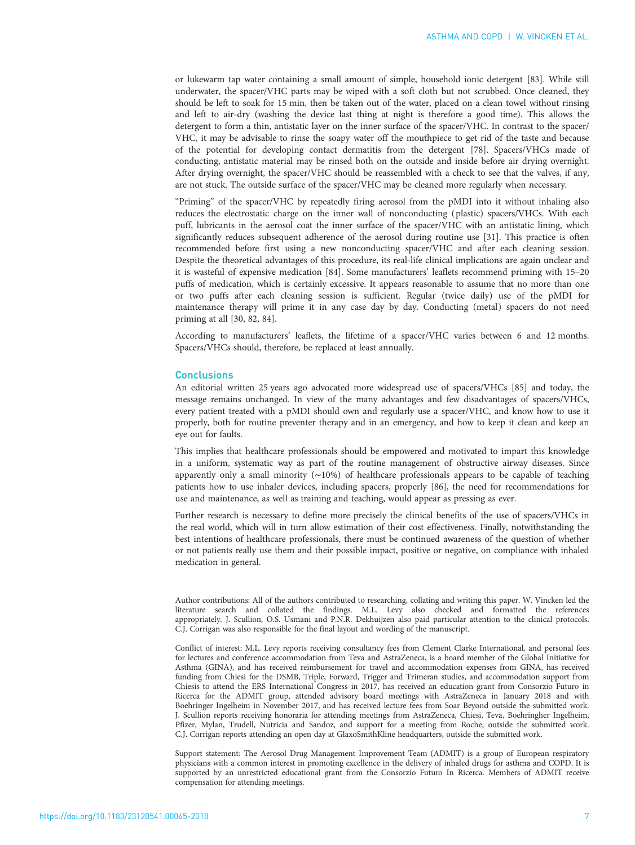or lukewarm tap water containing a small amount of simple, household ionic detergent [[83](#page-9-0)]. While still underwater, the spacer/VHC parts may be wiped with a soft cloth but not scrubbed. Once cleaned, they should be left to soak for 15 min, then be taken out of the water, placed on a clean towel without rinsing and left to air-dry (washing the device last thing at night is therefore a good time). This allows the detergent to form a thin, antistatic layer on the inner surface of the spacer/VHC. In contrast to the spacer/ VHC, it may be advisable to rinse the soapy water off the mouthpiece to get rid of the taste and because of the potential for developing contact dermatitis from the detergent [[78](#page-9-0)]. Spacers/VHCs made of conducting, antistatic material may be rinsed both on the outside and inside before air drying overnight. After drying overnight, the spacer/VHC should be reassembled with a check to see that the valves, if any, are not stuck. The outside surface of the spacer/VHC may be cleaned more regularly when necessary.

"Priming" of the spacer/VHC by repeatedly firing aerosol from the pMDI into it without inhaling also reduces the electrostatic charge on the inner wall of nonconducting ( plastic) spacers/VHCs. With each puff, lubricants in the aerosol coat the inner surface of the spacer/VHC with an antistatic lining, which significantly reduces subsequent adherence of the aerosol during routine use [[31](#page-7-0)]. This practice is often recommended before first using a new nonconducting spacer/VHC and after each cleaning session. Despite the theoretical advantages of this procedure, its real-life clinical implications are again unclear and it is wasteful of expensive medication [\[84](#page-9-0)]. Some manufacturers' leaflets recommend priming with 15–20 puffs of medication, which is certainly excessive. It appears reasonable to assume that no more than one or two puffs after each cleaning session is sufficient. Regular (twice daily) use of the pMDI for maintenance therapy will prime it in any case day by day. Conducting (metal) spacers do not need priming at all [\[30](#page-7-0), [82](#page-9-0), [84\]](#page-9-0).

According to manufacturers' leaflets, the lifetime of a spacer/VHC varies between 6 and 12 months. Spacers/VHCs should, therefore, be replaced at least annually.

# **Conclusions**

An editorial written 25 years ago advocated more widespread use of spacers/VHCs [\[85\]](#page-9-0) and today, the message remains unchanged. In view of the many advantages and few disadvantages of spacers/VHCs, every patient treated with a pMDI should own and regularly use a spacer/VHC, and know how to use it properly, both for routine preventer therapy and in an emergency, and how to keep it clean and keep an eye out for faults.

This implies that healthcare professionals should be empowered and motivated to impart this knowledge in a uniform, systematic way as part of the routine management of obstructive airway diseases. Since apparently only a small minority (∼10%) of healthcare professionals appears to be capable of teaching patients how to use inhaler devices, including spacers, properly [\[86\]](#page-9-0), the need for recommendations for use and maintenance, as well as training and teaching, would appear as pressing as ever.

Further research is necessary to define more precisely the clinical benefits of the use of spacers/VHCs in the real world, which will in turn allow estimation of their cost effectiveness. Finally, notwithstanding the best intentions of healthcare professionals, there must be continued awareness of the question of whether or not patients really use them and their possible impact, positive or negative, on compliance with inhaled medication in general.

Author contributions: All of the authors contributed to researching, collating and writing this paper. W. Vincken led the literature search and collated the findings. M.L. Levy also checked and formatted the references appropriately. J. Scullion, O.S. Usmani and P.N.R. Dekhuijzen also paid particular attention to the clinical protocols. C.J. Corrigan was also responsible for the final layout and wording of the manuscript.

Conflict of interest: M.L. Levy reports receiving consultancy fees from Clement Clarke International, and personal fees for lectures and conference accommodation from Teva and AstraZeneca, is a board member of the Global Initiative for Asthma (GINA), and has received reimbursement for travel and accommodation expenses from GINA, has received funding from Chiesi for the DSMB, Triple, Forward, Trigger and Trimeran studies, and accommodation support from Chiesis to attend the ERS International Congress in 2017, has received an education grant from Consorzio Futuro in Ricerca for the ADMIT group, attended advisory board meetings with AstraZeneca in January 2018 and with Boehringer Ingelheim in November 2017, and has received lecture fees from Soar Beyond outside the submitted work. J. Scullion reports receiving honoraria for attending meetings from AstraZeneca, Chiesi, Teva, Boehringher Ingelheim, Pfizer, Mylan, Trudell, Nutricia and Sandoz, and support for a meeting from Roche, outside the submitted work. C.J. Corrigan reports attending an open day at GlaxoSmithKline headquarters, outside the submitted work.

Support statement: The Aerosol Drug Management Improvement Team (ADMIT) is a group of European respiratory physicians with a common interest in promoting excellence in the delivery of inhaled drugs for asthma and COPD. It is supported by an unrestricted educational grant from the Consorzio Futuro In Ricerca. Members of ADMIT receive compensation for attending meetings.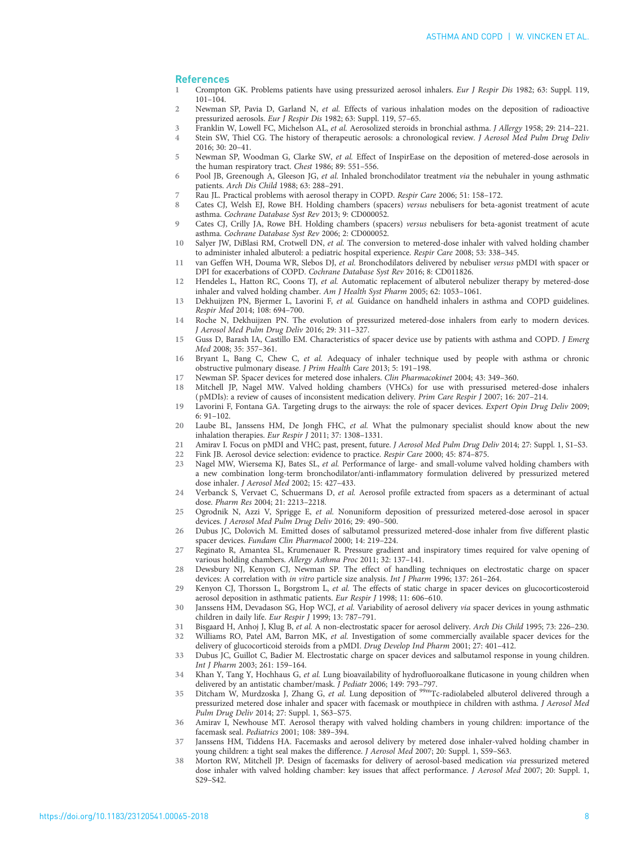### <span id="page-7-0"></span>**References**

- 1 Crompton GK. Problems patients have using pressurized aerosol inhalers. Eur J Respir Dis 1982; 63: Suppl. 119, 101–104.
- 2 Newman SP, Pavia D, Garland N, et al. Effects of various inhalation modes on the deposition of radioactive pressurized aerosols. Eur J Respir Dis 1982; 63: Suppl. 119, 57–65.
- 3 Franklin W, Lowell FC, Michelson AL, et al. Aerosolized steroids in bronchial asthma. J Allergy 1958; 29: 214–221.<br>4 Stein SW. Thiel CG. The history of therapeutic aerosols: a chronological review J Aerosol Med Pulm Drug
- Stein SW, Thiel CG. The history of therapeutic aerosols: a chronological review. J Aerosol Med Pulm Drug Deliv 2016; 30: 20–41.
- 5 Newman SP, Woodman G, Clarke SW, et al. Effect of InspirEase on the deposition of metered-dose aerosols in the human respiratory tract. Chest 1986; 89: 551–556.
- 6 Pool JB, Greenough A, Gleeson JG, et al. Inhaled bronchodilator treatment via the nebuhaler in young asthmatic patients. Arch Dis Child 1988; 63: 288–291.
- 7 Rau JL. Practical problems with aerosol therapy in COPD. Respir Care 2006; 51: 158–172.
- 8 Cates CJ, Welsh EJ, Rowe BH. Holding chambers (spacers) versus nebulisers for beta-agonist treatment of acute asthma. Cochrane Database Syst Rev 2013; 9: CD000052.
- 9 Cates CJ, Crilly JA, Rowe BH. Holding chambers (spacers) versus nebulisers for beta-agonist treatment of acute asthma. Cochrane Database Syst Rev 2006; 2: CD000052.
- 10 Salyer JW, DiBlasi RM, Crotwell DN, et al. The conversion to metered-dose inhaler with valved holding chamber to administer inhaled albuterol: a pediatric hospital experience. Respir Care 2008; 53: 338–345.
- 11 van Geffen WH, Douma WR, Slebos DJ, et al. Bronchodilators delivered by nebuliser versus pMDI with spacer or DPI for exacerbations of COPD. Cochrane Database Syst Rev 2016; 8: CD011826.
- 12 Hendeles L, Hatton RC, Coons TJ, et al. Automatic replacement of albuterol nebulizer therapy by metered-dose inhaler and valved holding chamber. Am J Health Syst Pharm 2005; 62: 1053–1061.
- 13 Dekhuijzen PN, Bjermer L, Lavorini F, et al. Guidance on handheld inhalers in asthma and COPD guidelines. Respir Med 2014; 108: 694–700.
- 14 Roche N, Dekhuijzen PN. The evolution of pressurized metered-dose inhalers from early to modern devices. J Aerosol Med Pulm Drug Deliv 2016; 29: 311–327.
- 15 Guss D, Barash IA, Castillo EM. Characteristics of spacer device use by patients with asthma and COPD. J Emerg Med 2008; 35: 357–361.
- 16 Bryant L, Bang C, Chew C, et al. Adequacy of inhaler technique used by people with asthma or chronic obstructive pulmonary disease. J Prim Health Care 2013; 5: 191–198.
- 17 Newman SP. Spacer devices for metered dose inhalers. Clin Pharmacokinet 2004; 43: 349–360.
- 18 Mitchell JP, Nagel MW. Valved holding chambers (VHCs) for use with pressurised metered-dose inhalers (pMDIs): a review of causes of inconsistent medication delivery. Prim Care Respir J 2007; 16: 207–214.
- 19 Lavorini F, Fontana GA. Targeting drugs to the airways: the role of spacer devices. Expert Opin Drug Deliv 2009; 6: 91–102.
- 20 Laube BL, Janssens HM, De Jongh FHC, et al. What the pulmonary specialist should know about the new inhalation therapies. Eur Respir J 2011; 37: 1308–1331.
- 21 Amirav I. Focus on pMDI and VHC; past, present, future. J Aerosol Med Pulm Drug Deliv 2014; 27: Suppl. 1, S1-S3.
- 22 Fink JB. Aerosol device selection: evidence to practice. Respir Care 2000; 45: 874–875.
- 23 Nagel MW, Wiersema KJ, Bates SL, et al. Performance of large- and small-volume valved holding chambers with a new combination long-term bronchodilator/anti-inflammatory formulation delivered by pressurized metered dose inhaler. J Aerosol Med 2002; 15: 427–433.
- 24 Verbanck S, Vervaet C, Schuermans D, et al. Aerosol profile extracted from spacers as a determinant of actual dose. Pharm Res 2004; 21: 2213–2218.
- 25 Ogrodnik N, Azzi V, Sprigge E, et al. Nonuniform deposition of pressurized metered-dose aerosol in spacer devices. J Aerosol Med Pulm Drug Deliv 2016; 29: 490–500.
- 26 Dubus JC, Dolovich M. Emitted doses of salbutamol pressurized metered-dose inhaler from five different plastic spacer devices. Fundam Clin Pharmacol 2000; 14: 219–224.
- 27 Reginato R, Amantea SL, Krumenauer R. Pressure gradient and inspiratory times required for valve opening of various holding chambers. Allergy Asthma Proc 2011; 32: 137–141.
- 28 Dewsbury NJ, Kenyon CJ, Newman SP. The effect of handling techniques on electrostatic charge on spacer devices: A correlation with in vitro particle size analysis. Int J Pharm 1996; 137: 261–264.
- 29 Kenyon CJ, Thorsson L, Borgstrom L, et al. The effects of static charge in spacer devices on glucocorticosteroid aerosol deposition in asthmatic patients. Eur Respir J 1998; 11: 606–610.
- 30 Janssens HM, Devadason SG, Hop WCJ, et al. Variability of aerosol delivery via spacer devices in young asthmatic children in daily life. Eur Respir J 1999; 13: 787-791.
- 31 Bisgaard H, Anhoj J, Klug B, et al. A non-electrostatic spacer for aerosol delivery. Arch Dis Child 1995; 73: 226–230. 32 Williams RO, Patel AM, Barron MK, et al. Investigation of some commercially available spacer devices for the
- delivery of glucocorticoid steroids from a pMDI. Drug Develop Ind Pharm 2001; 27: 401–412.
- 33 Dubus JC, Guillot C, Badier M. Electrostatic charge on spacer devices and salbutamol response in young children. Int J Pharm 2003; 261: 159–164.
- 34 Khan Y, Tang Y, Hochhaus G, et al. Lung bioavailability of hydrofluoroalkane fluticasone in young children when delivered by an antistatic chamber/mask. J Pediatr 2006; 149: 793–797.
- 35 Ditcham W, Murdzoska J, Zhang G, et al. Lung deposition of <sup>99m</sup>Tc-radiolabeled albuterol delivered through a pressurized metered dose inhaler and spacer with facemask or mouthpiece in children with asthma. J Aerosol Med Pulm Drug Deliv 2014; 27: Suppl. 1, S63–S75.
- 36 Amirav I, Newhouse MT. Aerosol therapy with valved holding chambers in young children: importance of the facemask seal. Pediatrics 2001; 108: 389–394.
- 37 Janssens HM, Tiddens HA. Facemasks and aerosol delivery by metered dose inhaler-valved holding chamber in young children: a tight seal makes the difference. J Aerosol Med 2007; 20: Suppl. 1, S59–S63.
- 38 Morton RW, Mitchell JP. Design of facemasks for delivery of aerosol-based medication via pressurized metered dose inhaler with valved holding chamber: key issues that affect performance. J Aerosol Med 2007; 20: Suppl. 1, S29–S42.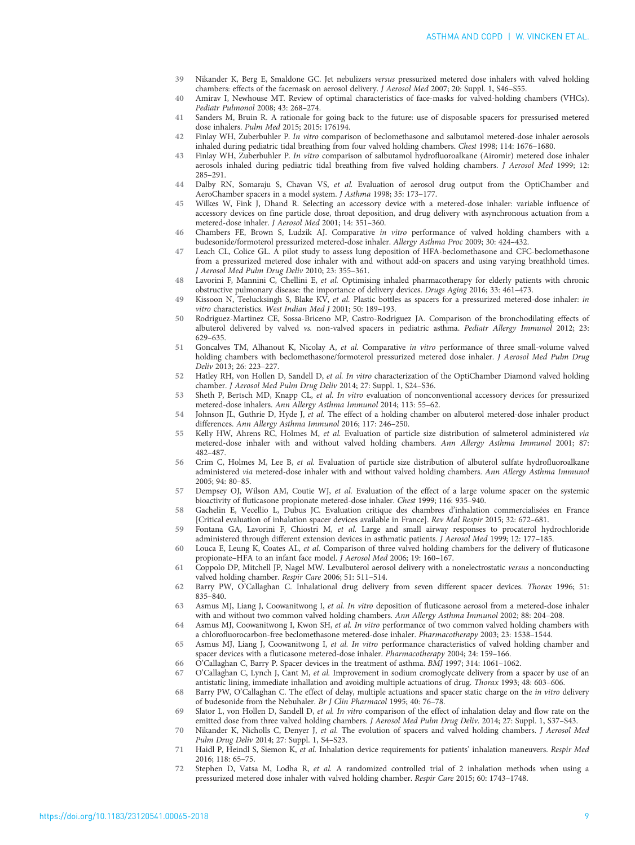- <span id="page-8-0"></span>39 Nikander K, Berg E, Smaldone GC. Jet nebulizers versus pressurized metered dose inhalers with valved holding chambers: effects of the facemask on aerosol delivery. J Aerosol Med 2007; 20: Suppl. 1, S46–S55.
- 40 Amirav I, Newhouse MT. Review of optimal characteristics of face-masks for valved-holding chambers (VHCs). Pediatr Pulmonol 2008; 43: 268–274.
- 41 Sanders M, Bruin R. A rationale for going back to the future: use of disposable spacers for pressurised metered dose inhalers. Pulm Med 2015; 2015: 176194.
- 42 Finlay WH, Zuberbuhler P. In vitro comparison of beclomethasone and salbutamol metered-dose inhaler aerosols inhaled during pediatric tidal breathing from four valved holding chambers. Chest 1998; 114: 1676–1680.
- 43 Finlay WH, Zuberbuhler P. In vitro comparison of salbutamol hydrofluoroalkane (Airomir) metered dose inhaler aerosols inhaled during pediatric tidal breathing from five valved holding chambers. J Aerosol Med 1999; 12: 285–291.
- 44 Dalby RN, Somaraju S, Chavan VS, et al. Evaluation of aerosol drug output from the OptiChamber and AeroChamber spacers in a model system. J Asthma 1998; 35: 173–177.
- 45 Wilkes W, Fink J, Dhand R. Selecting an accessory device with a metered-dose inhaler: variable influence of accessory devices on fine particle dose, throat deposition, and drug delivery with asynchronous actuation from a metered-dose inhaler. J Aerosol Med 2001; 14: 351–360.
- 46 Chambers FE, Brown S, Ludzik AJ. Comparative in vitro performance of valved holding chambers with a budesonide/formoterol pressurized metered-dose inhaler. Allergy Asthma Proc 2009; 30: 424–432.
- 47 Leach CL, Colice GL. A pilot study to assess lung deposition of HFA-beclomethasone and CFC-beclomethasone from a pressurized metered dose inhaler with and without add-on spacers and using varying breathhold times. J Aerosol Med Pulm Drug Deliv 2010; 23: 355–361.
- 48 Lavorini F, Mannini C, Chellini E, et al. Optimising inhaled pharmacotherapy for elderly patients with chronic obstructive pulmonary disease: the importance of delivery devices. Drugs Aging 2016; 33: 461–473.
- 49 Kissoon N, Teelucksingh S, Blake KV, et al. Plastic bottles as spacers for a pressurized metered-dose inhaler: in vitro characteristics. West Indian Med J 2001; 50: 189–193.
- 50 Rodriguez-Martinez CE, Sossa-Briceno MP, Castro-Rodriguez JA. Comparison of the bronchodilating effects of albuterol delivered by valved vs. non-valved spacers in pediatric asthma. Pediatr Allergy Immunol 2012; 23: 629–635.
- 51 Goncalves TM, Alhanout K, Nicolay A, et al. Comparative in vitro performance of three small-volume valved holding chambers with beclomethasone/formoterol pressurized metered dose inhaler. J Aerosol Med Pulm Drug Deliv 2013; 26: 223–227.
- 52 Hatley RH, von Hollen D, Sandell D, et al. In vitro characterization of the OptiChamber Diamond valved holding chamber. J Aerosol Med Pulm Drug Deliv 2014; 27: Suppl. 1, S24–S36.
- 53 Sheth P, Bertsch MD, Knapp CL, et al. In vitro evaluation of nonconventional accessory devices for pressurized metered-dose inhalers. Ann Allergy Asthma Immunol 2014; 113: 55–62.
- 54 Johnson JL, Guthrie D, Hyde J, et al. The effect of a holding chamber on albuterol metered-dose inhaler product differences. Ann Allergy Asthma Immunol 2016; 117: 246–250.
- 55 Kelly HW, Ahrens RC, Holmes M, et al. Evaluation of particle size distribution of salmeterol administered via metered-dose inhaler with and without valved holding chambers. Ann Allergy Asthma Immunol 2001; 87: 482–487.
- 56 Crim C, Holmes M, Lee B, et al. Evaluation of particle size distribution of albuterol sulfate hydrofluoroalkane administered via metered-dose inhaler with and without valved holding chambers. Ann Allergy Asthma Immunol 2005; 94: 80–85.
- 57 Dempsey OJ, Wilson AM, Coutie WJ, et al. Evaluation of the effect of a large volume spacer on the systemic bioactivity of fluticasone propionate metered-dose inhaler. Chest 1999; 116: 935–940.
- 58 Gachelin E, Vecellio L, Dubus JC. Evaluation critique des chambres d'inhalation commercialisées en France [Critical evaluation of inhalation spacer devices available in France]. Rev Mal Respir 2015; 32: 672–681.
- 59 Fontana GA, Lavorini F, Chiostri M, et al. Large and small airway responses to procaterol hydrochloride administered through different extension devices in asthmatic patients. J Aerosol Med 1999; 12: 177–185.
- 60 Louca E, Leung K, Coates AL, et al. Comparison of three valved holding chambers for the delivery of fluticasone propionate–HFA to an infant face model. J Aerosol Med 2006; 19: 160–167.
- 61 Coppolo DP, Mitchell JP, Nagel MW. Levalbuterol aerosol delivery with a nonelectrostatic versus a nonconducting valved holding chamber. Respir Care 2006; 51: 511–514.
- 62 Barry PW, O'Callaghan C. Inhalational drug delivery from seven different spacer devices. Thorax 1996; 51: 835–840.
- 63 Asmus MJ, Liang J, Coowanitwong I, et al. In vitro deposition of fluticasone aerosol from a metered-dose inhaler with and without two common valved holding chambers. Ann Allergy Asthma Immunol 2002; 88: 204–208.
- 64 Asmus MJ, Coowanitwong I, Kwon SH, et al. In vitro performance of two common valved holding chambers with a chlorofluorocarbon-free beclomethasone metered-dose inhaler. Pharmacotherapy 2003; 23: 1538–1544.
- 65 Asmus MJ, Liang J, Coowanitwong I, et al. In vitro performance characteristics of valved holding chamber and spacer devices with a fluticasone metered-dose inhaler. Pharmacotherapy 2004; 24: 159–166.
- 66 O'Callaghan C, Barry P. Spacer devices in the treatment of asthma. BMJ 1997; 314: 1061–1062.
- 67 O'Callaghan C, Lynch J, Cant M, et al. Improvement in sodium cromoglycate delivery from a spacer by use of an antistatic lining, immediate inhallation and avoiding multiple actuations of drug. Thorax 1993; 48: 603–606.
- 68 Barry PW, O'Callaghan C. The effect of delay, multiple actuations and spacer static charge on the in vitro delivery of budesonide from the Nebuhaler. Br J Clin Pharmacol 1995; 40: 76–78.
- 69 Slator L, von Hollen D, Sandell D, et al. In vitro comparison of the effect of inhalation delay and flow rate on the emitted dose from three valved holding chambers. J Aerosol Med Pulm Drug Deliv. 2014; 27: Suppl. 1, S37–S43.
- 70 Nikander K, Nicholls C, Denyer J, et al. The evolution of spacers and valved holding chambers. J Aerosol Med Pulm Drug Deliv 2014; 27: Suppl. 1, S4–S23.
- 71 Haidl P, Heindl S, Siemon K, et al. Inhalation device requirements for patients' inhalation maneuvers. Respir Med 2016; 118: 65–75.
- 72 Stephen D, Vatsa M, Lodha R, et al. A randomized controlled trial of 2 inhalation methods when using a pressurized metered dose inhaler with valved holding chamber. Respir Care 2015; 60: 1743–1748.